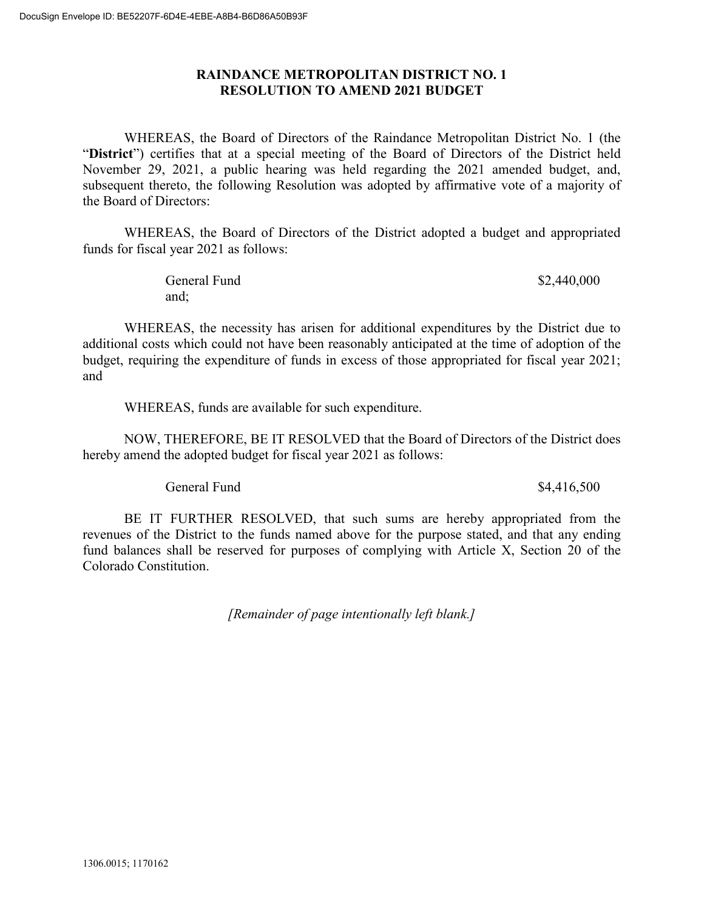## **RAINDANCE METROPOLITAN DISTRICT NO. 1 RESOLUTION TO AMEND 2021 BUDGET**

WHEREAS, the Board of Directors of the Raindance Metropolitan District No. 1 (the "**District**") certifies that at a special meeting of the Board of Directors of the District held November 29, 2021, a public hearing was held regarding the 2021 amended budget, and, subsequent thereto, the following Resolution was adopted by affirmative vote of a majority of the Board of Directors:

WHEREAS, the Board of Directors of the District adopted a budget and appropriated funds for fiscal year 2021 as follows:

> General Fund  $$2,440,000$ and;

WHEREAS, the necessity has arisen for additional expenditures by the District due to additional costs which could not have been reasonably anticipated at the time of adoption of the budget, requiring the expenditure of funds in excess of those appropriated for fiscal year 2021; and

WHEREAS, funds are available for such expenditure.

NOW, THEREFORE, BE IT RESOLVED that the Board of Directors of the District does hereby amend the adopted budget for fiscal year 2021 as follows:

General Fund \$4,416,500

BE IT FURTHER RESOLVED, that such sums are hereby appropriated from the revenues of the District to the funds named above for the purpose stated, and that any ending fund balances shall be reserved for purposes of complying with Article X, Section 20 of the Colorado Constitution.

*[Remainder of page intentionally left blank.]*